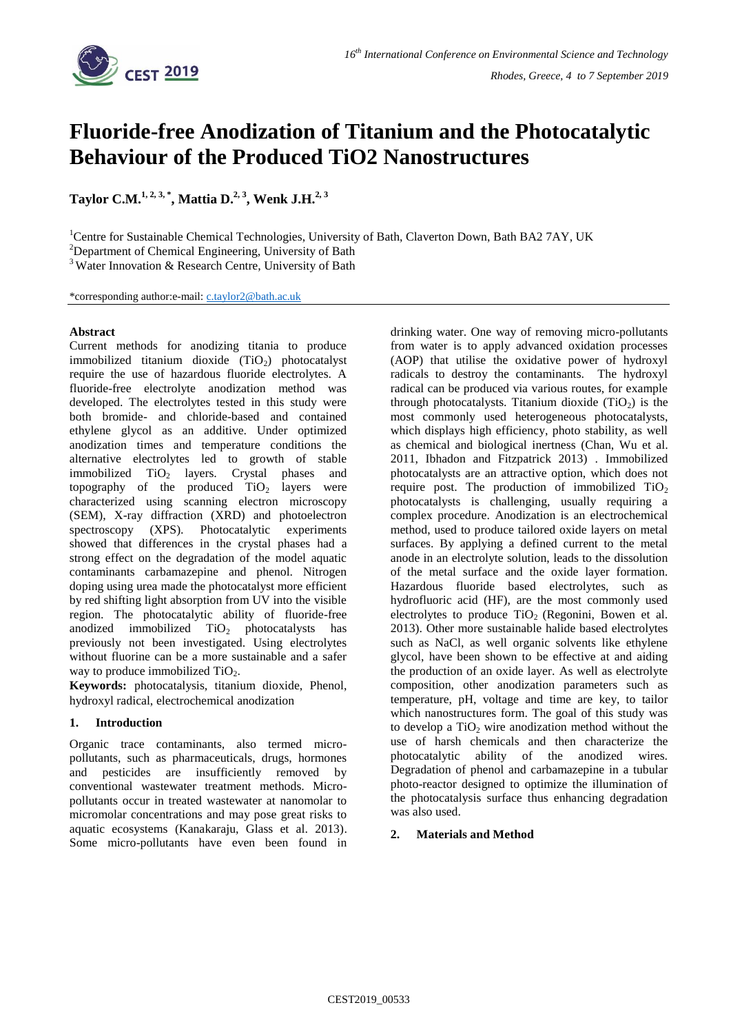

# **Fluoride-free Anodization of Titanium and the Photocatalytic Behaviour of the Produced TiO2 Nanostructures**

**Taylor C.M.1, 2, 3, \* , Mattia D.2, <sup>3</sup> , Wenk J.H.2, 3**

<sup>1</sup>Centre for Sustainable Chemical Technologies, University of Bath, Claverton Down, Bath BA2 7AY, UK

<sup>2</sup>Department of Chemical Engineering, University of Bath

 $3$ Water Innovation & Research Centre, University of Bath

\*corresponding author:e-mail: [c.taylor2@bath.ac.uk](mailto:c.taylor2@bath.ac.uk)

## **Abstract**

Current methods for anodizing titania to produce immobilized titanium dioxide  $(TiO<sub>2</sub>)$  photocatalyst require the use of hazardous fluoride electrolytes. A fluoride-free electrolyte anodization method was developed. The electrolytes tested in this study were both bromide- and chloride-based and contained ethylene glycol as an additive. Under optimized anodization times and temperature conditions the alternative electrolytes led to growth of stable immobilized  $TiO<sub>2</sub>$  layers. Crystal phases and topography of the produced  $TiO<sub>2</sub>$  layers were characterized using scanning electron microscopy (SEM), X-ray diffraction (XRD) and photoelectron spectroscopy (XPS). Photocatalytic experiments showed that differences in the crystal phases had a strong effect on the degradation of the model aquatic contaminants carbamazepine and phenol. Nitrogen doping using urea made the photocatalyst more efficient by red shifting light absorption from UV into the visible region. The photocatalytic ability of fluoride-free anodized immobilized  $TiO<sub>2</sub>$  photocatalysts has previously not been investigated. Using electrolytes without fluorine can be a more sustainable and a safer way to produce immobilized  $TiO<sub>2</sub>$ .

**Keywords:** photocatalysis, titanium dioxide, Phenol, hydroxyl radical, electrochemical anodization

## **1. Introduction**

Organic trace contaminants, also termed micropollutants, such as pharmaceuticals, drugs, hormones and pesticides are insufficiently removed by conventional wastewater treatment methods. Micropollutants occur in treated wastewater at nanomolar to micromolar concentrations and may pose great risks to aquatic ecosystems (Kanakaraju, Glass et al. 2013). Some micro-pollutants have even been found in drinking water. One way of removing micro-pollutants from water is to apply advanced oxidation processes (AOP) that utilise the oxidative power of hydroxyl radicals to destroy the contaminants. The hydroxyl radical can be produced via various routes, for example through photocatalysts. Titanium dioxide  $(TiO<sub>2</sub>)$  is the most commonly used heterogeneous photocatalysts, which displays high efficiency, photo stability, as well as chemical and biological inertness (Chan, Wu et al. 2011, Ibhadon and Fitzpatrick 2013) . Immobilized photocatalysts are an attractive option, which does not require post. The production of immobilized  $TiO<sub>2</sub>$ photocatalysts is challenging, usually requiring a complex procedure. Anodization is an electrochemical method, used to produce tailored oxide layers on metal surfaces. By applying a defined current to the metal anode in an electrolyte solution, leads to the dissolution of the metal surface and the oxide layer formation. Hazardous fluoride based electrolytes, such as hydrofluoric acid (HF), are the most commonly used electrolytes to produce  $TiO<sub>2</sub>$  (Regonini, Bowen et al. 2013). Other more sustainable halide based electrolytes such as NaCl, as well organic solvents like ethylene glycol, have been shown to be effective at and aiding the production of an oxide layer. As well as electrolyte composition, other anodization parameters such as temperature, pH, voltage and time are key, to tailor which nanostructures form. The goal of this study was to develop a  $TiO<sub>2</sub>$  wire anodization method without the use of harsh chemicals and then characterize the photocatalytic ability of the anodized wires. Degradation of phenol and carbamazepine in a tubular photo-reactor designed to optimize the illumination of the photocatalysis surface thus enhancing degradation was also used.

## **2. Materials and Method**